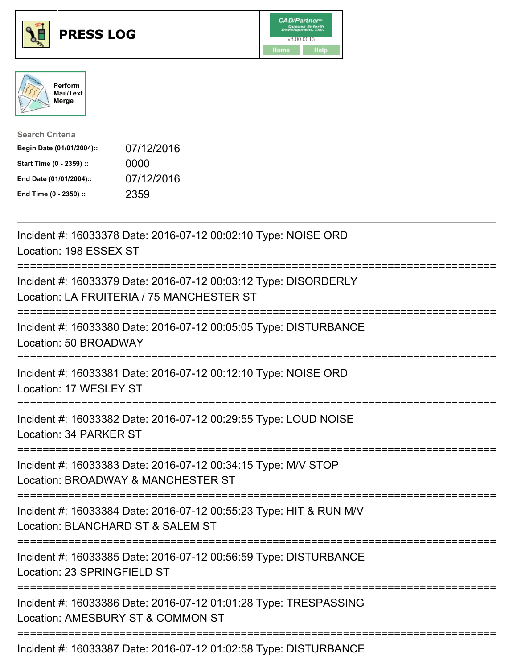

## **PRESS LOG** v8.00.0013





| <b>Search Criteria</b>    |            |
|---------------------------|------------|
| Begin Date (01/01/2004):: | 07/12/2016 |
| Start Time (0 - 2359) ::  | 0000       |
| End Date (01/01/2004)::   | 07/12/2016 |
| End Time (0 - 2359) ::    | 2359       |

Incident #: 16033378 Date: 2016-07-12 00:02:10 Type: NOISE ORD Location: 198 ESSEX ST =========================================================================== Incident #: 16033379 Date: 2016-07-12 00:03:12 Type: DISORDERLY Location: LA FRUITERIA / 75 MANCHESTER ST =========================================================================== Incident #: 16033380 Date: 2016-07-12 00:05:05 Type: DISTURBANCE Location: 50 BROADWAY =========================================================================== Incident #: 16033381 Date: 2016-07-12 00:12:10 Type: NOISE ORD Location: 17 WESLEY ST =========================================================================== Incident #: 16033382 Date: 2016-07-12 00:29:55 Type: LOUD NOISE Location: 34 PARKER ST =========================================================================== Incident #: 16033383 Date: 2016-07-12 00:34:15 Type: M/V STOP Location: BROADWAY & MANCHESTER ST =========================================================================== Incident #: 16033384 Date: 2016-07-12 00:55:23 Type: HIT & RUN M/V Location: BLANCHARD ST & SALEM ST =========================================================================== Incident #: 16033385 Date: 2016-07-12 00:56:59 Type: DISTURBANCE Location: 23 SPRINGFIELD ST =========================================================================== Incident #: 16033386 Date: 2016-07-12 01:01:28 Type: TRESPASSING Location: AMESBURY ST & COMMON ST =========================================================================== Incident #: 16033387 Date: 2016-07-12 01:02:58 Type: DISTURBANCE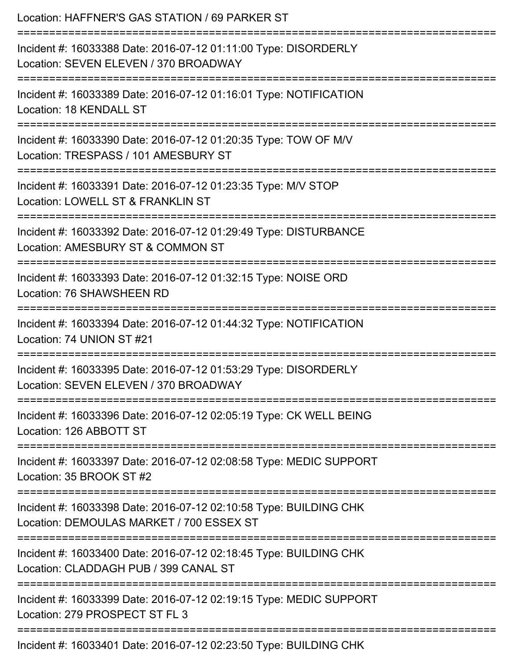| Location: HAFFNER'S GAS STATION / 69 PARKER ST<br>================================                                                 |
|------------------------------------------------------------------------------------------------------------------------------------|
| Incident #: 16033388 Date: 2016-07-12 01:11:00 Type: DISORDERLY<br>Location: SEVEN ELEVEN / 370 BROADWAY                           |
| Incident #: 16033389 Date: 2016-07-12 01:16:01 Type: NOTIFICATION<br>Location: 18 KENDALL ST<br>================================== |
| Incident #: 16033390 Date: 2016-07-12 01:20:35 Type: TOW OF M/V<br>Location: TRESPASS / 101 AMESBURY ST                            |
| Incident #: 16033391 Date: 2016-07-12 01:23:35 Type: M/V STOP<br>Location: LOWELL ST & FRANKLIN ST                                 |
| Incident #: 16033392 Date: 2016-07-12 01:29:49 Type: DISTURBANCE<br>Location: AMESBURY ST & COMMON ST                              |
| Incident #: 16033393 Date: 2016-07-12 01:32:15 Type: NOISE ORD<br>Location: 76 SHAWSHEEN RD                                        |
| Incident #: 16033394 Date: 2016-07-12 01:44:32 Type: NOTIFICATION<br>Location: 74 UNION ST #21                                     |
| Incident #: 16033395 Date: 2016-07-12 01:53:29 Type: DISORDERLY<br>Location: SEVEN ELEVEN / 370 BROADWAY                           |
| Incident #: 16033396 Date: 2016-07-12 02:05:19 Type: CK WELL BEING<br>Location: 126 ABBOTT ST                                      |
| Incident #: 16033397 Date: 2016-07-12 02:08:58 Type: MEDIC SUPPORT<br>Location: 35 BROOK ST #2                                     |
| Incident #: 16033398 Date: 2016-07-12 02:10:58 Type: BUILDING CHK<br>Location: DEMOULAS MARKET / 700 ESSEX ST                      |
| Incident #: 16033400 Date: 2016-07-12 02:18:45 Type: BUILDING CHK<br>Location: CLADDAGH PUB / 399 CANAL ST                         |
| Incident #: 16033399 Date: 2016-07-12 02:19:15 Type: MEDIC SUPPORT<br>Location: 279 PROSPECT ST FL 3                               |
| Incident #: 16033401 Date: 2016-07-12 02:23:50 Type: BUILDING CHK                                                                  |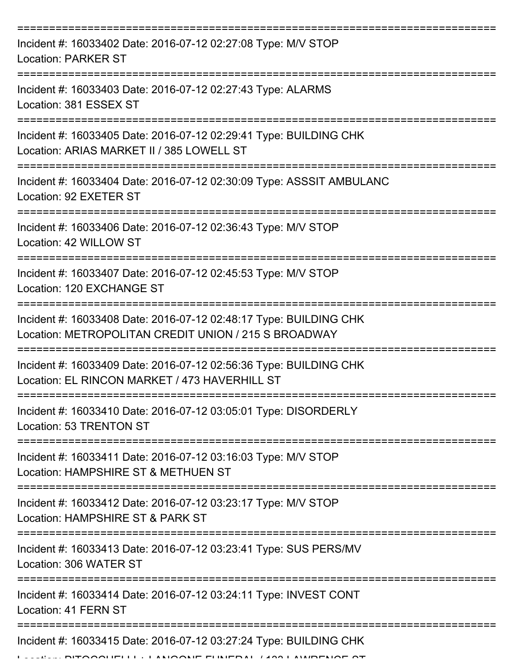| Incident #: 16033402 Date: 2016-07-12 02:27:08 Type: M/V STOP<br><b>Location: PARKER ST</b>                                   |
|-------------------------------------------------------------------------------------------------------------------------------|
| Incident #: 16033403 Date: 2016-07-12 02:27:43 Type: ALARMS<br>Location: 381 ESSEX ST                                         |
| Incident #: 16033405 Date: 2016-07-12 02:29:41 Type: BUILDING CHK<br>Location: ARIAS MARKET II / 385 LOWELL ST<br>----------- |
| Incident #: 16033404 Date: 2016-07-12 02:30:09 Type: ASSSIT AMBULANC<br>Location: 92 EXETER ST                                |
| Incident #: 16033406 Date: 2016-07-12 02:36:43 Type: M/V STOP<br>Location: 42 WILLOW ST                                       |
| Incident #: 16033407 Date: 2016-07-12 02:45:53 Type: M/V STOP<br>Location: 120 EXCHANGE ST                                    |
| Incident #: 16033408 Date: 2016-07-12 02:48:17 Type: BUILDING CHK<br>Location: METROPOLITAN CREDIT UNION / 215 S BROADWAY     |
| Incident #: 16033409 Date: 2016-07-12 02:56:36 Type: BUILDING CHK<br>Location: EL RINCON MARKET / 473 HAVERHILL ST            |
| Incident #: 16033410 Date: 2016-07-12 03:05:01 Type: DISORDERLY<br>Location: 53 TRENTON ST                                    |
| Incident #: 16033411 Date: 2016-07-12 03:16:03 Type: M/V STOP<br>Location: HAMPSHIRE ST & METHUEN ST                          |
| Incident #: 16033412 Date: 2016-07-12 03:23:17 Type: M/V STOP<br>Location: HAMPSHIRE ST & PARK ST                             |
| Incident #: 16033413 Date: 2016-07-12 03:23:41 Type: SUS PERS/MV<br>Location: 306 WATER ST                                    |
| Incident #: 16033414 Date: 2016-07-12 03:24:11 Type: INVEST CONT<br>Location: 41 FERN ST                                      |
| Incident #: 16033415 Date: 2016-07-12 03:27:24 Type: BUILDING CHK                                                             |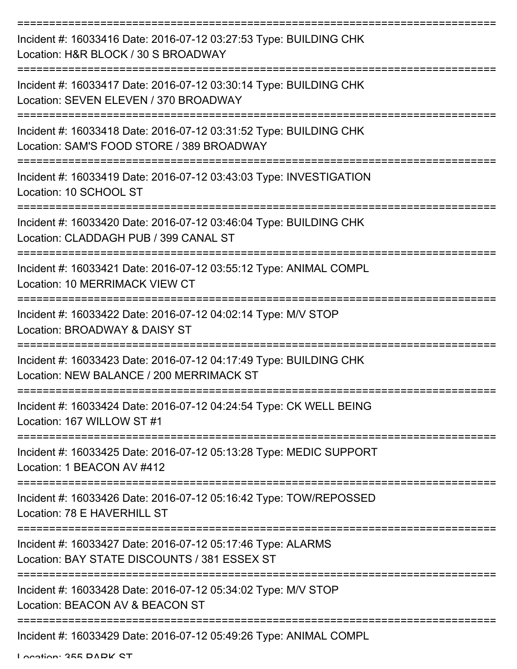| Incident #: 16033416 Date: 2016-07-12 03:27:53 Type: BUILDING CHK<br>Location: H&R BLOCK / 30 S BROADWAY       |
|----------------------------------------------------------------------------------------------------------------|
| Incident #: 16033417 Date: 2016-07-12 03:30:14 Type: BUILDING CHK<br>Location: SEVEN ELEVEN / 370 BROADWAY     |
| Incident #: 16033418 Date: 2016-07-12 03:31:52 Type: BUILDING CHK<br>Location: SAM'S FOOD STORE / 389 BROADWAY |
| Incident #: 16033419 Date: 2016-07-12 03:43:03 Type: INVESTIGATION<br>Location: 10 SCHOOL ST                   |
| Incident #: 16033420 Date: 2016-07-12 03:46:04 Type: BUILDING CHK<br>Location: CLADDAGH PUB / 399 CANAL ST     |
| Incident #: 16033421 Date: 2016-07-12 03:55:12 Type: ANIMAL COMPL<br>Location: 10 MERRIMACK VIEW CT            |
| Incident #: 16033422 Date: 2016-07-12 04:02:14 Type: M/V STOP<br>Location: BROADWAY & DAISY ST                 |
| Incident #: 16033423 Date: 2016-07-12 04:17:49 Type: BUILDING CHK<br>Location: NEW BALANCE / 200 MERRIMACK ST  |
| Incident #: 16033424 Date: 2016-07-12 04:24:54 Type: CK WELL BEING<br>Location: 167 WILLOW ST #1               |
| Incident #: 16033425 Date: 2016-07-12 05:13:28 Type: MEDIC SUPPORT<br>Location: 1 BEACON AV #412               |
| Incident #: 16033426 Date: 2016-07-12 05:16:42 Type: TOW/REPOSSED<br>Location: 78 E HAVERHILL ST               |
| Incident #: 16033427 Date: 2016-07-12 05:17:46 Type: ALARMS<br>Location: BAY STATE DISCOUNTS / 381 ESSEX ST    |
| Incident #: 16033428 Date: 2016-07-12 05:34:02 Type: M/V STOP<br>Location: BEACON AV & BEACON ST               |
| Incident #: 16033429 Date: 2016-07-12 05:49:26 Type: ANIMAL COMPL                                              |

Location: 355 DADK CT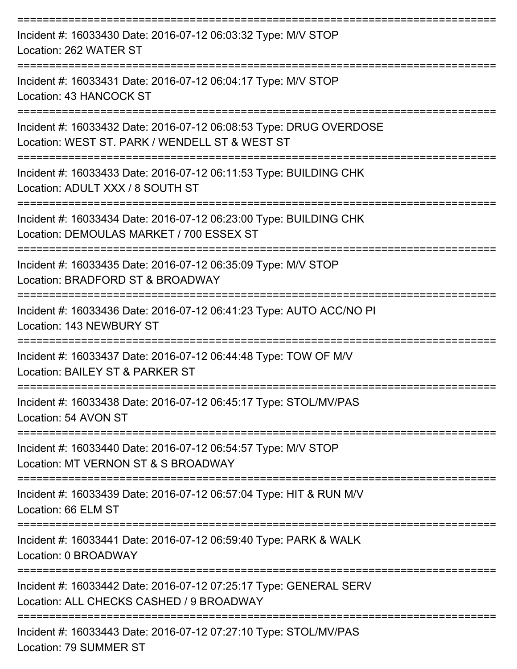| Incident #: 16033430 Date: 2016-07-12 06:03:32 Type: M/V STOP<br>Location: 262 WATER ST                              |
|----------------------------------------------------------------------------------------------------------------------|
| Incident #: 16033431 Date: 2016-07-12 06:04:17 Type: M/V STOP<br>Location: 43 HANCOCK ST                             |
| Incident #: 16033432 Date: 2016-07-12 06:08:53 Type: DRUG OVERDOSE<br>Location: WEST ST. PARK / WENDELL ST & WEST ST |
| Incident #: 16033433 Date: 2016-07-12 06:11:53 Type: BUILDING CHK<br>Location: ADULT XXX / 8 SOUTH ST                |
| Incident #: 16033434 Date: 2016-07-12 06:23:00 Type: BUILDING CHK<br>Location: DEMOULAS MARKET / 700 ESSEX ST        |
| Incident #: 16033435 Date: 2016-07-12 06:35:09 Type: M/V STOP<br>Location: BRADFORD ST & BROADWAY                    |
| Incident #: 16033436 Date: 2016-07-12 06:41:23 Type: AUTO ACC/NO PI<br>Location: 143 NEWBURY ST                      |
| Incident #: 16033437 Date: 2016-07-12 06:44:48 Type: TOW OF M/V<br>Location: BAILEY ST & PARKER ST                   |
| Incident #: 16033438 Date: 2016-07-12 06:45:17 Type: STOL/MV/PAS<br>Location: 54 AVON ST                             |
| Incident #: 16033440 Date: 2016-07-12 06:54:57 Type: M/V STOP<br>Location: MT VERNON ST & S BROADWAY                 |
| Incident #: 16033439 Date: 2016-07-12 06:57:04 Type: HIT & RUN M/V<br>Location: 66 ELM ST                            |
| Incident #: 16033441 Date: 2016-07-12 06:59:40 Type: PARK & WALK<br>Location: 0 BROADWAY                             |
| Incident #: 16033442 Date: 2016-07-12 07:25:17 Type: GENERAL SERV<br>Location: ALL CHECKS CASHED / 9 BROADWAY        |
| ---------------<br>Incident #: 16033443 Date: 2016-07-12 07:27:10 Type: STOL/MV/PAS                                  |

Location: 79 SUMMER ST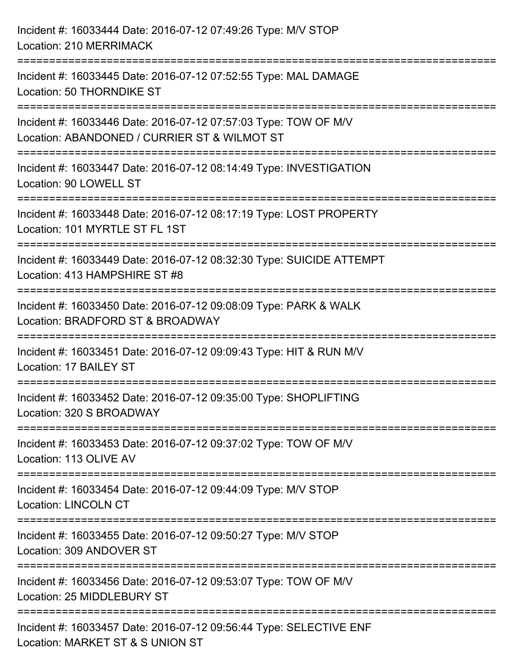| Incident #: 16033444 Date: 2016-07-12 07:49:26 Type: M/V STOP<br>Location: 210 MERRIMACK                                                 |
|------------------------------------------------------------------------------------------------------------------------------------------|
| Incident #: 16033445 Date: 2016-07-12 07:52:55 Type: MAL DAMAGE<br>Location: 50 THORNDIKE ST                                             |
| :====================<br>Incident #: 16033446 Date: 2016-07-12 07:57:03 Type: TOW OF M/V<br>Location: ABANDONED / CURRIER ST & WILMOT ST |
| Incident #: 16033447 Date: 2016-07-12 08:14:49 Type: INVESTIGATION<br>Location: 90 LOWELL ST                                             |
| Incident #: 16033448 Date: 2016-07-12 08:17:19 Type: LOST PROPERTY<br>Location: 101 MYRTLE ST FL 1ST                                     |
| Incident #: 16033449 Date: 2016-07-12 08:32:30 Type: SUICIDE ATTEMPT<br>Location: 413 HAMPSHIRE ST #8                                    |
| :================<br>Incident #: 16033450 Date: 2016-07-12 09:08:09 Type: PARK & WALK<br>Location: BRADFORD ST & BROADWAY                |
| Incident #: 16033451 Date: 2016-07-12 09:09:43 Type: HIT & RUN M/V<br>Location: 17 BAILEY ST                                             |
| Incident #: 16033452 Date: 2016-07-12 09:35:00 Type: SHOPLIFTING<br>Location: 320 S BROADWAY                                             |
| Incident #: 16033453 Date: 2016-07-12 09:37:02 Type: TOW OF M/V<br>Location: 113 OLIVE AV                                                |
| Incident #: 16033454 Date: 2016-07-12 09:44:09 Type: M/V STOP<br><b>Location: LINCOLN CT</b>                                             |
| Incident #: 16033455 Date: 2016-07-12 09:50:27 Type: M/V STOP<br>Location: 309 ANDOVER ST                                                |
| Incident #: 16033456 Date: 2016-07-12 09:53:07 Type: TOW OF M/V<br>Location: 25 MIDDLEBURY ST                                            |
| Incident #: 16033457 Date: 2016-07-12 09:56:44 Type: SELECTIVE ENF<br>Location: MARKET ST & S UNION ST                                   |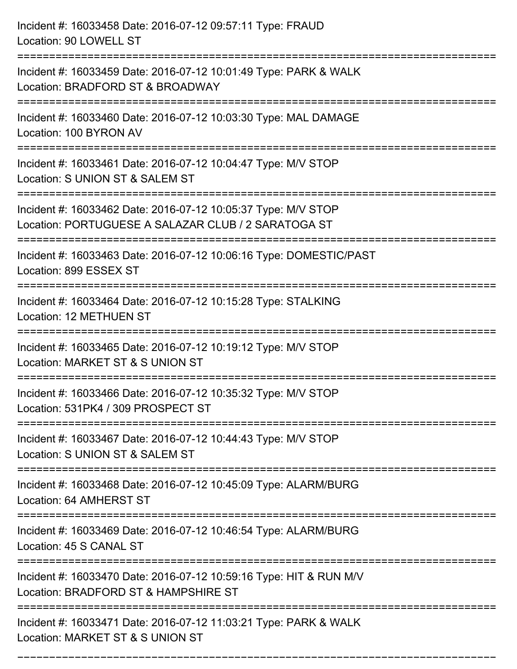| Incident #: 16033458 Date: 2016-07-12 09:57:11 Type: FRAUD<br>Location: 90 LOWELL ST                                                                                             |
|----------------------------------------------------------------------------------------------------------------------------------------------------------------------------------|
| Incident #: 16033459 Date: 2016-07-12 10:01:49 Type: PARK & WALK<br>Location: BRADFORD ST & BROADWAY                                                                             |
| Incident #: 16033460 Date: 2016-07-12 10:03:30 Type: MAL DAMAGE<br>Location: 100 BYRON AV                                                                                        |
| Incident #: 16033461 Date: 2016-07-12 10:04:47 Type: M/V STOP<br>Location: S UNION ST & SALEM ST                                                                                 |
| Incident #: 16033462 Date: 2016-07-12 10:05:37 Type: M/V STOP<br>Location: PORTUGUESE A SALAZAR CLUB / 2 SARATOGA ST                                                             |
| Incident #: 16033463 Date: 2016-07-12 10:06:16 Type: DOMESTIC/PAST<br>Location: 899 ESSEX ST                                                                                     |
| Incident #: 16033464 Date: 2016-07-12 10:15:28 Type: STALKING<br>Location: 12 METHUEN ST                                                                                         |
| Incident #: 16033465 Date: 2016-07-12 10:19:12 Type: M/V STOP<br>Location: MARKET ST & S UNION ST                                                                                |
| Incident #: 16033466 Date: 2016-07-12 10:35:32 Type: M/V STOP<br>Location: 531PK4 / 309 PROSPECT ST                                                                              |
| Incident #: 16033467 Date: 2016-07-12 10:44:43 Type: M/V STOP<br>Location: S UNION ST & SALEM ST<br>=====================                                                        |
| Incident #: 16033468 Date: 2016-07-12 10:45:09 Type: ALARM/BURG<br>Location: 64 AMHERST ST                                                                                       |
| Incident #: 16033469 Date: 2016-07-12 10:46:54 Type: ALARM/BURG<br>Location: 45 S CANAL ST                                                                                       |
| ==============================<br>--------------------------------<br>Incident #: 16033470 Date: 2016-07-12 10:59:16 Type: HIT & RUN M/V<br>Location: BRADFORD ST & HAMPSHIRE ST |
| Incident #: 16033471 Date: 2016-07-12 11:03:21 Type: PARK & WALK<br>Location: MARKET ST & S UNION ST                                                                             |

===========================================================================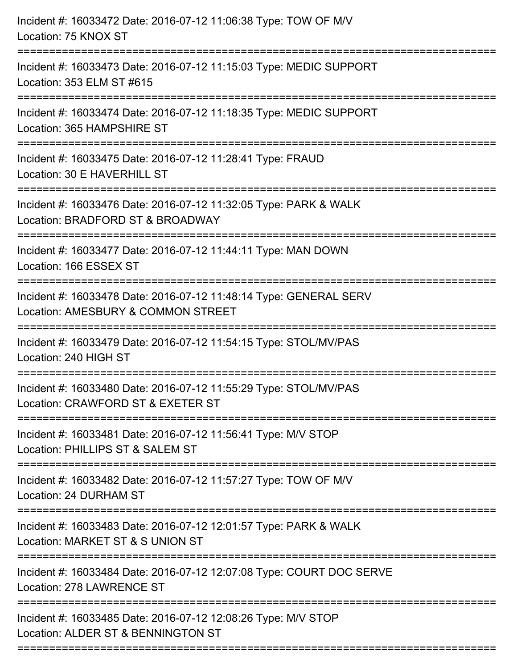| Incident #: 16033472 Date: 2016-07-12 11:06:38 Type: TOW OF M/V<br>Location: 75 KNOX ST                                                |
|----------------------------------------------------------------------------------------------------------------------------------------|
| Incident #: 16033473 Date: 2016-07-12 11:15:03 Type: MEDIC SUPPORT<br>Location: 353 ELM ST #615                                        |
| Incident #: 16033474 Date: 2016-07-12 11:18:35 Type: MEDIC SUPPORT<br>Location: 365 HAMPSHIRE ST<br>=======================            |
| Incident #: 16033475 Date: 2016-07-12 11:28:41 Type: FRAUD<br>Location: 30 E HAVERHILL ST                                              |
| Incident #: 16033476 Date: 2016-07-12 11:32:05 Type: PARK & WALK<br>Location: BRADFORD ST & BROADWAY<br>============================== |
| Incident #: 16033477 Date: 2016-07-12 11:44:11 Type: MAN DOWN<br>Location: 166 ESSEX ST                                                |
| Incident #: 16033478 Date: 2016-07-12 11:48:14 Type: GENERAL SERV<br>Location: AMESBURY & COMMON STREET<br>========================    |
| Incident #: 16033479 Date: 2016-07-12 11:54:15 Type: STOL/MV/PAS<br>Location: 240 HIGH ST                                              |
| Incident #: 16033480 Date: 2016-07-12 11:55:29 Type: STOL/MV/PAS<br>Location: CRAWFORD ST & EXETER ST                                  |
| Incident #: 16033481 Date: 2016-07-12 11:56:41 Type: M/V STOP<br>Location: PHILLIPS ST & SALEM ST                                      |
| Incident #: 16033482 Date: 2016-07-12 11:57:27 Type: TOW OF M/V<br>Location: 24 DURHAM ST                                              |
| Incident #: 16033483 Date: 2016-07-12 12:01:57 Type: PARK & WALK<br>Location: MARKET ST & S UNION ST                                   |
| Incident #: 16033484 Date: 2016-07-12 12:07:08 Type: COURT DOC SERVE<br>Location: 278 LAWRENCE ST                                      |
| Incident #: 16033485 Date: 2016-07-12 12:08:26 Type: M/V STOP<br>Location: ALDER ST & BENNINGTON ST                                    |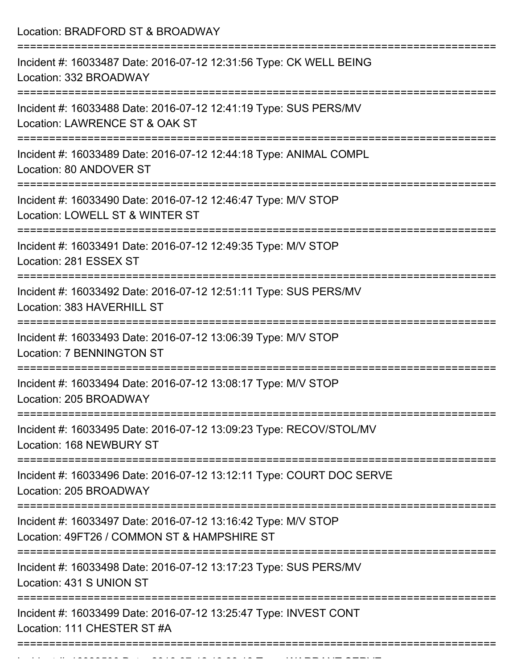Location: BRADFORD ST & BROADWAY =========================================================================== Incident #: 16033487 Date: 2016-07-12 12:31:56 Type: CK WELL BEING Location: 332 BROADWAY =========================================================================== Incident #: 16033488 Date: 2016-07-12 12:41:19 Type: SUS PERS/MV Location: LAWRENCE ST & OAK ST =========================================================================== Incident #: 16033489 Date: 2016-07-12 12:44:18 Type: ANIMAL COMPL Location: 80 ANDOVER ST =========================================================================== Incident #: 16033490 Date: 2016-07-12 12:46:47 Type: M/V STOP Location: LOWELL ST & WINTER ST =========================================================================== Incident #: 16033491 Date: 2016-07-12 12:49:35 Type: M/V STOP Location: 281 ESSEX ST =========================================================================== Incident #: 16033492 Date: 2016-07-12 12:51:11 Type: SUS PERS/MV Location: 383 HAVERHILL ST =========================================================================== Incident #: 16033493 Date: 2016-07-12 13:06:39 Type: M/V STOP Location: 7 BENNINGTON ST =========================================================================== Incident #: 16033494 Date: 2016-07-12 13:08:17 Type: M/V STOP Location: 205 BROADWAY =========================================================================== Incident #: 16033495 Date: 2016-07-12 13:09:23 Type: RECOV/STOL/MV Location: 168 NEWBURY ST =========================================================================== Incident #: 16033496 Date: 2016-07-12 13:12:11 Type: COURT DOC SERVE Location: 205 BROADWAY =========================================================================== Incident #: 16033497 Date: 2016-07-12 13:16:42 Type: M/V STOP Location: 49FT26 / COMMON ST & HAMPSHIRE ST =========================================================================== Incident #: 16033498 Date: 2016-07-12 13:17:23 Type: SUS PERS/MV Location: 431 S UNION ST =========================================================================== Incident #: 16033499 Date: 2016-07-12 13:25:47 Type: INVEST CONT Location: 111 CHESTER ST #A ===========================================================================

Incident #: 16033500 Date: 2016 07 12 13:38:13 Type: WARRANT SERVE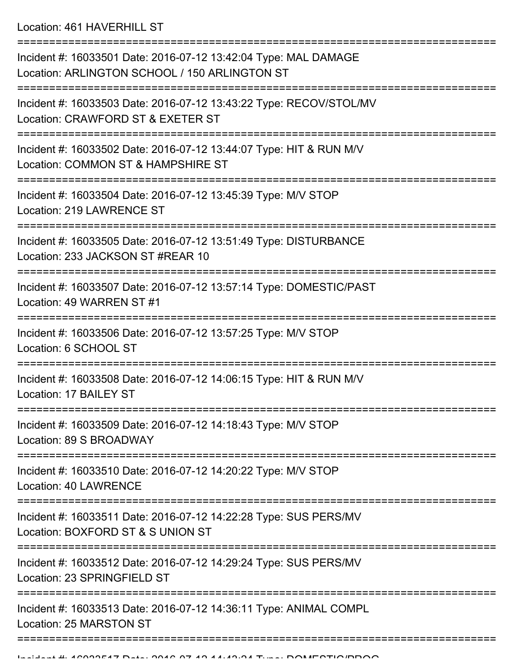Location: 461 HAVERHILL ST

=========================================================================== Incident #: 16033501 Date: 2016-07-12 13:42:04 Type: MAL DAMAGE Location: ARLINGTON SCHOOL / 150 ARLINGTON ST =========================================================================== Incident #: 16033503 Date: 2016-07-12 13:43:22 Type: RECOV/STOL/MV Location: CRAWFORD ST & EXETER ST =========================================================================== Incident #: 16033502 Date: 2016-07-12 13:44:07 Type: HIT & RUN M/V Location: COMMON ST & HAMPSHIRE ST =========================================================================== Incident #: 16033504 Date: 2016-07-12 13:45:39 Type: M/V STOP Location: 219 LAWRENCE ST =========================================================================== Incident #: 16033505 Date: 2016-07-12 13:51:49 Type: DISTURBANCE Location: 233 JACKSON ST #REAR 10 =========================================================================== Incident #: 16033507 Date: 2016-07-12 13:57:14 Type: DOMESTIC/PAST Location: 49 WARREN ST #1 =========================================================================== Incident #: 16033506 Date: 2016-07-12 13:57:25 Type: M/V STOP Location: 6 SCHOOL ST =========================================================================== Incident #: 16033508 Date: 2016-07-12 14:06:15 Type: HIT & RUN M/V Location: 17 BAILEY ST =========================================================================== Incident #: 16033509 Date: 2016-07-12 14:18:43 Type: M/V STOP Location: 89 S BROADWAY =========================================================================== Incident #: 16033510 Date: 2016-07-12 14:20:22 Type: M/V STOP Location: 40 LAWRENCE =========================================================================== Incident #: 16033511 Date: 2016-07-12 14:22:28 Type: SUS PERS/MV Location: BOXFORD ST & S UNION ST =========================================================================== Incident #: 16033512 Date: 2016-07-12 14:29:24 Type: SUS PERS/MV Location: 23 SPRINGFIFLD ST =========================================================================== Incident #: 16033513 Date: 2016-07-12 14:36:11 Type: ANIMAL COMPL Location: 25 MARSTON ST ===========================================================================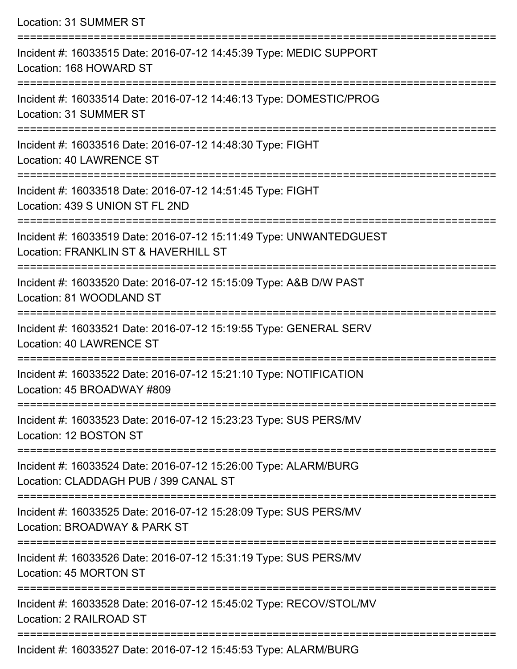Location: 31 SUMMER ST =========================================================================== Incident #: 16033515 Date: 2016-07-12 14:45:39 Type: MEDIC SUPPORT Location: 168 HOWARD ST =========================================================================== Incident #: 16033514 Date: 2016-07-12 14:46:13 Type: DOMESTIC/PROG Location: 31 SUMMER ST =========================================================================== Incident #: 16033516 Date: 2016-07-12 14:48:30 Type: FIGHT Location: 40 LAWRENCE ST =========================================================================== Incident #: 16033518 Date: 2016-07-12 14:51:45 Type: FIGHT Location: 439 S UNION ST FL 2ND =========================================================================== Incident #: 16033519 Date: 2016-07-12 15:11:49 Type: UNWANTEDGUEST Location: FRANKLIN ST & HAVERHILL ST =========================================================================== Incident #: 16033520 Date: 2016-07-12 15:15:09 Type: A&B D/W PAST Location: 81 WOODLAND ST =========================================================================== Incident #: 16033521 Date: 2016-07-12 15:19:55 Type: GENERAL SERV Location: 40 LAWRENCE ST =========================================================================== Incident #: 16033522 Date: 2016-07-12 15:21:10 Type: NOTIFICATION Location: 45 BROADWAY #809 =========================================================================== Incident #: 16033523 Date: 2016-07-12 15:23:23 Type: SUS PERS/MV Location: 12 BOSTON ST =========================================================================== Incident #: 16033524 Date: 2016-07-12 15:26:00 Type: ALARM/BURG Location: CLADDAGH PUB / 399 CANAL ST =========================================================================== Incident #: 16033525 Date: 2016-07-12 15:28:09 Type: SUS PERS/MV Location: BROADWAY & PARK ST =========================================================================== Incident #: 16033526 Date: 2016-07-12 15:31:19 Type: SUS PERS/MV Location: 45 MORTON ST =========================================================================== Incident #: 16033528 Date: 2016-07-12 15:45:02 Type: RECOV/STOL/MV Location: 2 RAILROAD ST ===========================================================================

Incident #: 16033527 Date: 2016-07-12 15:45:53 Type: ALARM/BURG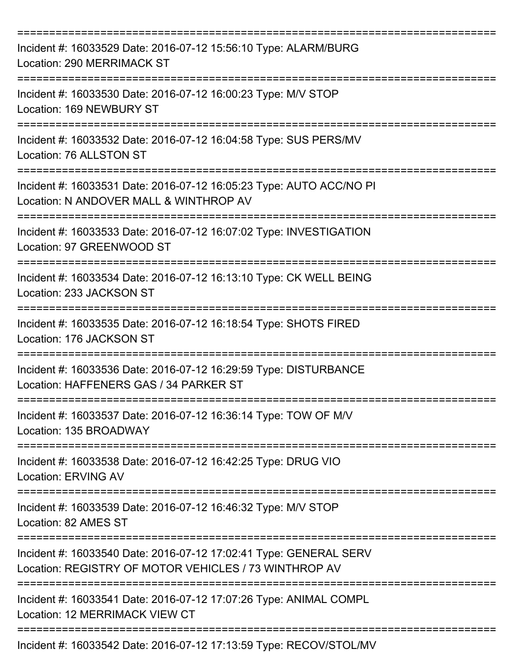| Incident #: 16033529 Date: 2016-07-12 15:56:10 Type: ALARM/BURG<br>Location: 290 MERRIMACK ST                                        |
|--------------------------------------------------------------------------------------------------------------------------------------|
| Incident #: 16033530 Date: 2016-07-12 16:00:23 Type: M/V STOP<br>Location: 169 NEWBURY ST                                            |
| Incident #: 16033532 Date: 2016-07-12 16:04:58 Type: SUS PERS/MV<br>Location: 76 ALLSTON ST                                          |
| Incident #: 16033531 Date: 2016-07-12 16:05:23 Type: AUTO ACC/NO PI<br>Location: N ANDOVER MALL & WINTHROP AV                        |
| Incident #: 16033533 Date: 2016-07-12 16:07:02 Type: INVESTIGATION<br>Location: 97 GREENWOOD ST                                      |
| Incident #: 16033534 Date: 2016-07-12 16:13:10 Type: CK WELL BEING<br>Location: 233 JACKSON ST                                       |
| ====================================<br>Incident #: 16033535 Date: 2016-07-12 16:18:54 Type: SHOTS FIRED<br>Location: 176 JACKSON ST |
| Incident #: 16033536 Date: 2016-07-12 16:29:59 Type: DISTURBANCE<br>Location: HAFFENERS GAS / 34 PARKER ST                           |
| Incident #: 16033537 Date: 2016-07-12 16:36:14 Type: TOW OF M/V<br>Location: 135 BROADWAY                                            |
| Incident #: 16033538 Date: 2016-07-12 16:42:25 Type: DRUG VIO<br><b>Location: ERVING AV</b>                                          |
| Incident #: 16033539 Date: 2016-07-12 16:46:32 Type: M/V STOP<br>Location: 82 AMES ST                                                |
| Incident #: 16033540 Date: 2016-07-12 17:02:41 Type: GENERAL SERV<br>Location: REGISTRY OF MOTOR VEHICLES / 73 WINTHROP AV           |
| Incident #: 16033541 Date: 2016-07-12 17:07:26 Type: ANIMAL COMPL<br>Location: 12 MERRIMACK VIEW CT                                  |
| Incident #: 16033542 Date: 2016-07-12 17:13:59 Type: RECOV/STOL/MV                                                                   |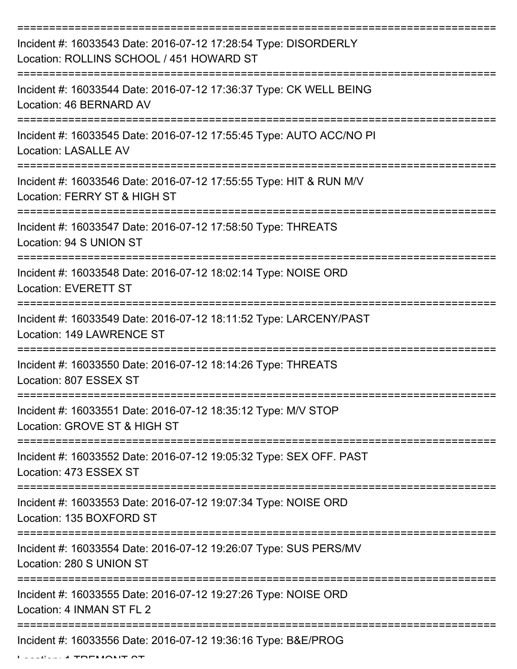| Incident #: 16033543 Date: 2016-07-12 17:28:54 Type: DISORDERLY<br>Location: ROLLINS SCHOOL / 451 HOWARD ST |
|-------------------------------------------------------------------------------------------------------------|
| Incident #: 16033544 Date: 2016-07-12 17:36:37 Type: CK WELL BEING<br>Location: 46 BERNARD AV               |
| Incident #: 16033545 Date: 2016-07-12 17:55:45 Type: AUTO ACC/NO PI<br><b>Location: LASALLE AV</b>          |
| Incident #: 16033546 Date: 2016-07-12 17:55:55 Type: HIT & RUN M/V<br>Location: FERRY ST & HIGH ST          |
| Incident #: 16033547 Date: 2016-07-12 17:58:50 Type: THREATS<br>Location: 94 S UNION ST                     |
| Incident #: 16033548 Date: 2016-07-12 18:02:14 Type: NOISE ORD<br><b>Location: EVERETT ST</b>               |
| Incident #: 16033549 Date: 2016-07-12 18:11:52 Type: LARCENY/PAST<br>Location: 149 LAWRENCE ST              |
| Incident #: 16033550 Date: 2016-07-12 18:14:26 Type: THREATS<br>Location: 807 ESSEX ST                      |
| Incident #: 16033551 Date: 2016-07-12 18:35:12 Type: M/V STOP<br>Location: GROVE ST & HIGH ST               |
| Incident #: 16033552 Date: 2016-07-12 19:05:32 Type: SEX OFF. PAST<br>Location: 473 ESSEX ST                |
| Incident #: 16033553 Date: 2016-07-12 19:07:34 Type: NOISE ORD<br>Location: 135 BOXFORD ST                  |
| Incident #: 16033554 Date: 2016-07-12 19:26:07 Type: SUS PERS/MV<br>Location: 280 S UNION ST                |
| Incident #: 16033555 Date: 2016-07-12 19:27:26 Type: NOISE ORD<br>Location: 4 INMAN ST FL 2                 |
| Incident #: 16033556 Date: 2016-07-12 19:36:16 Type: B&E/PROG                                               |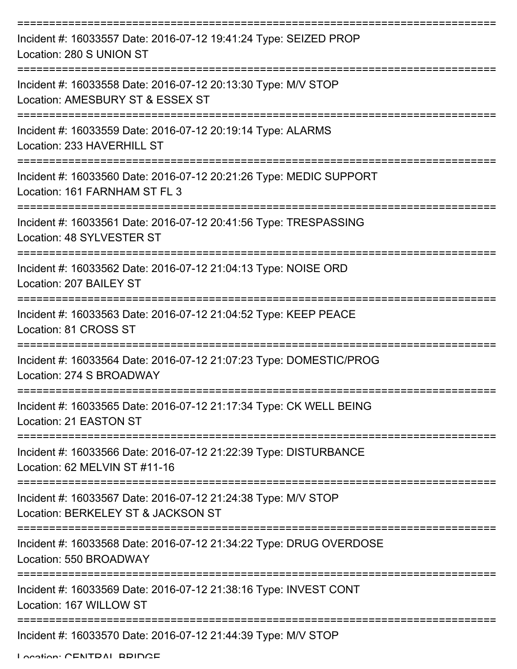| Incident #: 16033557 Date: 2016-07-12 19:41:24 Type: SEIZED PROP<br>Location: 280 S UNION ST        |
|-----------------------------------------------------------------------------------------------------|
| Incident #: 16033558 Date: 2016-07-12 20:13:30 Type: M/V STOP<br>Location: AMESBURY ST & ESSEX ST   |
| Incident #: 16033559 Date: 2016-07-12 20:19:14 Type: ALARMS<br>Location: 233 HAVERHILL ST           |
| Incident #: 16033560 Date: 2016-07-12 20:21:26 Type: MEDIC SUPPORT<br>Location: 161 FARNHAM ST FL 3 |
| Incident #: 16033561 Date: 2016-07-12 20:41:56 Type: TRESPASSING<br>Location: 48 SYLVESTER ST       |
| Incident #: 16033562 Date: 2016-07-12 21:04:13 Type: NOISE ORD<br>Location: 207 BAILEY ST           |
| Incident #: 16033563 Date: 2016-07-12 21:04:52 Type: KEEP PEACE<br>Location: 81 CROSS ST            |
| Incident #: 16033564 Date: 2016-07-12 21:07:23 Type: DOMESTIC/PROG<br>Location: 274 S BROADWAY      |
| Incident #: 16033565 Date: 2016-07-12 21:17:34 Type: CK WELL BEING<br>Location: 21 EASTON ST        |
| Incident #: 16033566 Date: 2016-07-12 21:22:39 Type: DISTURBANCE<br>Location: 62 MELVIN ST #11-16   |
| Incident #: 16033567 Date: 2016-07-12 21:24:38 Type: M/V STOP<br>Location: BERKELEY ST & JACKSON ST |
| Incident #: 16033568 Date: 2016-07-12 21:34:22 Type: DRUG OVERDOSE<br>Location: 550 BROADWAY        |
| Incident #: 16033569 Date: 2016-07-12 21:38:16 Type: INVEST CONT<br>Location: 167 WILLOW ST         |
| Incident #: 16033570 Date: 2016-07-12 21:44:39 Type: M/V STOP                                       |

Location: CENTRAL BRIDGE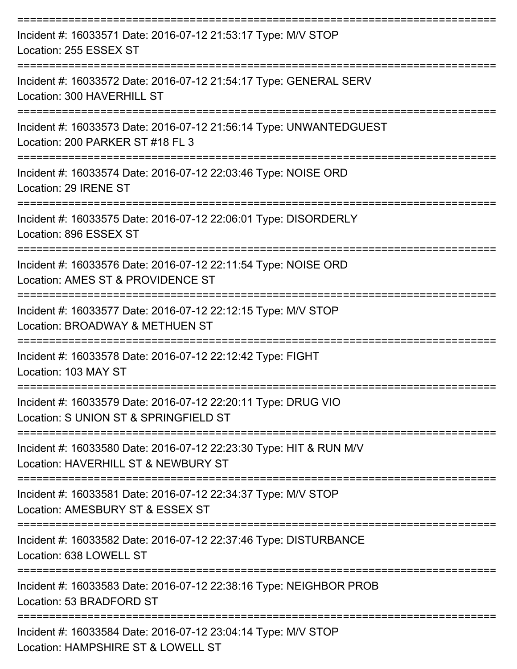| Incident #: 16033571 Date: 2016-07-12 21:53:17 Type: M/V STOP<br>Location: 255 ESSEX ST                   |
|-----------------------------------------------------------------------------------------------------------|
| Incident #: 16033572 Date: 2016-07-12 21:54:17 Type: GENERAL SERV<br>Location: 300 HAVERHILL ST           |
| Incident #: 16033573 Date: 2016-07-12 21:56:14 Type: UNWANTEDGUEST<br>Location: 200 PARKER ST #18 FL 3    |
| Incident #: 16033574 Date: 2016-07-12 22:03:46 Type: NOISE ORD<br>Location: 29 IRENE ST                   |
| Incident #: 16033575 Date: 2016-07-12 22:06:01 Type: DISORDERLY<br>Location: 896 ESSEX ST                 |
| Incident #: 16033576 Date: 2016-07-12 22:11:54 Type: NOISE ORD<br>Location: AMES ST & PROVIDENCE ST       |
| Incident #: 16033577 Date: 2016-07-12 22:12:15 Type: M/V STOP<br>Location: BROADWAY & METHUEN ST          |
| Incident #: 16033578 Date: 2016-07-12 22:12:42 Type: FIGHT<br>Location: 103 MAY ST                        |
| Incident #: 16033579 Date: 2016-07-12 22:20:11 Type: DRUG VIO<br>Location: S UNION ST & SPRINGFIELD ST    |
| Incident #: 16033580 Date: 2016-07-12 22:23:30 Type: HIT & RUN M/V<br>Location: HAVERHILL ST & NEWBURY ST |
| Incident #: 16033581 Date: 2016-07-12 22:34:37 Type: M/V STOP<br>Location: AMESBURY ST & ESSEX ST         |
| Incident #: 16033582 Date: 2016-07-12 22:37:46 Type: DISTURBANCE<br>Location: 638 LOWELL ST               |
| Incident #: 16033583 Date: 2016-07-12 22:38:16 Type: NEIGHBOR PROB<br>Location: 53 BRADFORD ST            |
| Incident #: 16033584 Date: 2016-07-12 23:04:14 Type: M/V STOP<br>Location: HAMPSHIRE ST & LOWELL ST       |